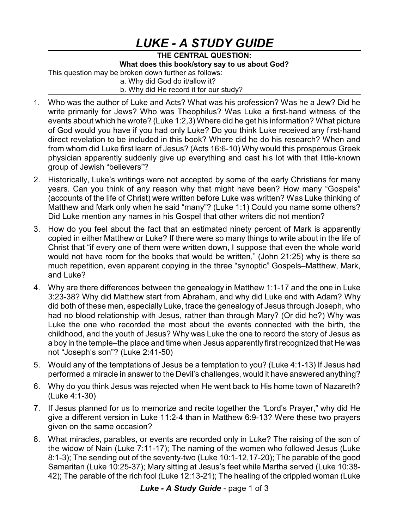## *LUKE - A STUDY GUIDE*

**THE CENTRAL QUESTION: What does this book/story say to us about God?** This question may be broken down further as follows:

a. Why did God do it/allow it?

b. Why did He record it for our study?

- 1. Who was the author of Luke and Acts? What was his profession? Was he a Jew? Did he write primarily for Jews? Who was Theophilus? Was Luke a first-hand witness of the events about which he wrote? (Luke 1:2,3) Where did he get his information? What picture of God would you have if you had only Luke? Do you think Luke received any first-hand direct revelation to be included in this book? Where did he do his research? When and from whom did Luke first learn of Jesus? (Acts 16:6-10) Why would this prosperous Greek physician apparently suddenly give up everything and cast his lot with that little-known group of Jewish "believers"?
- 2. Historically, Luke's writings were not accepted by some of the early Christians for many years. Can you think of any reason why that might have been? How many "Gospels" (accounts of the life of Christ) were written before Luke was written? Was Luke thinking of Matthew and Mark only when he said "many"? (Luke 1:1) Could you name some others? Did Luke mention any names in his Gospel that other writers did not mention?
- 3. How do you feel about the fact that an estimated ninety percent of Mark is apparently copied in either Matthew or Luke? If there were so many things to write about in the life of Christ that "if every one of them were written down, I suppose that even the whole world would not have room for the books that would be written," (John 21:25) why is there so much repetition, even apparent copying in the three "synoptic" Gospels–Matthew, Mark, and Luke?
- 4. Why are there differences between the genealogy in Matthew 1:1-17 and the one in Luke 3:23-38? Why did Matthew start from Abraham, and why did Luke end with Adam? Why did both of these men, especially Luke, trace the genealogy of Jesus through Joseph, who had no blood relationship with Jesus, rather than through Mary? (Or did he?) Why was Luke the one who recorded the most about the events connected with the birth, the childhood, and the youth of Jesus? Why was Luke the one to record the story of Jesus as a boy in the temple–the place and time when Jesus apparently first recognized that He was not "Joseph's son"? (Luke 2:41-50)
- 5. Would any of the temptations of Jesus be a temptation to you? (Luke 4:1-13) If Jesus had performed a miracle in answer to the Devil's challenges, would it have answered anything?
- 6. Why do you think Jesus was rejected when He went back to His home town of Nazareth? (Luke 4:1-30)
- 7. If Jesus planned for us to memorize and recite together the "Lord's Prayer," why did He give a different version in Luke 11:2-4 than in Matthew 6:9-13? Were these two prayers given on the same occasion?
- 8. What miracles, parables, or events are recorded only in Luke? The raising of the son of the widow of Nain (Luke 7:11-17); The naming of the women who followed Jesus (Luke 8:1-3); The sending out of the seventy-two (Luke 10:1-12,17-20); The parable of the good Samaritan (Luke 10:25-37); Mary sitting at Jesus's feet while Martha served (Luke 10:38- 42); The parable of the rich fool (Luke 12:13-21); The healing of the crippled woman (Luke

*Luke - A Study Guide* - page 1 of 3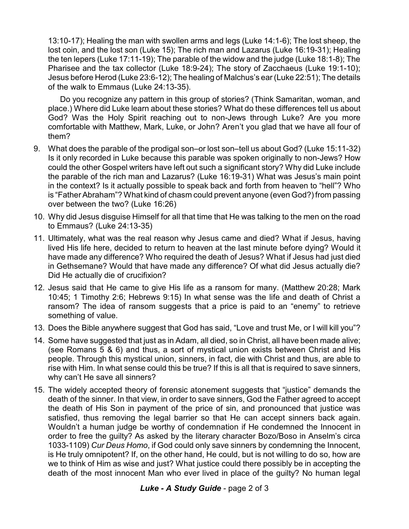13:10-17); Healing the man with swollen arms and legs (Luke 14:1-6); The lost sheep, the lost coin, and the lost son (Luke 15); The rich man and Lazarus (Luke 16:19-31); Healing the ten lepers (Luke 17:11-19); The parable of the widow and the judge (Luke 18:1-8); The Pharisee and the tax collector (Luke 18:9-24); The story of Zacchaeus (Luke 19:1-10); Jesus before Herod (Luke 23:6-12); The healing of Malchus's ear (Luke 22:51); The details of the walk to Emmaus (Luke 24:13-35).

Do you recognize any pattern in this group of stories? (Think Samaritan, woman, and place.) Where did Luke learn about these stories? What do these differences tell us about God? Was the Holy Spirit reaching out to non-Jews through Luke? Are you more comfortable with Matthew, Mark, Luke, or John? Aren't you glad that we have all four of them?

- 9. What does the parable of the prodigal son–or lost son–tell us about God? (Luke 15:11-32) Is it only recorded in Luke because this parable was spoken originally to non-Jews? How could the other Gospel writers have left out such a significant story? Why did Luke include the parable of the rich man and Lazarus? (Luke 16:19-31) What was Jesus's main point in the context? Is it actually possible to speak back and forth from heaven to "hell"? Who is "Father Abraham"? What kind of chasm could prevent anyone (even God?) from passing over between the two? (Luke 16:26)
- 10. Why did Jesus disguise Himself for all that time that He was talking to the men on the road to Emmaus? (Luke 24:13-35)
- 11. Ultimately, what was the real reason why Jesus came and died? What if Jesus, having lived His life here, decided to return to heaven at the last minute before dying? Would it have made any difference? Who required the death of Jesus? What if Jesus had just died in Gethsemane? Would that have made any difference? Of what did Jesus actually die? Did He actually die of crucifixion?
- 12. Jesus said that He came to give His life as a ransom for many. (Matthew 20:28; Mark 10:45; 1 Timothy 2:6; Hebrews 9:15) In what sense was the life and death of Christ a ransom? The idea of ransom suggests that a price is paid to an "enemy" to retrieve something of value.
- 13. Does the Bible anywhere suggest that God has said, "Love and trust Me, or I will kill you"?
- 14. Some have suggested that just as in Adam, all died, so in Christ, all have been made alive; (see Romans 5 & 6) and thus, a sort of mystical union exists between Christ and His people. Through this mystical union, sinners, in fact, die with Christ and thus, are able to rise with Him. In what sense could this be true? If this is all that is required to save sinners, why can't He save all sinners?
- 15. The widely accepted theory of forensic atonement suggests that "justice" demands the death of the sinner. In that view, in order to save sinners, God the Father agreed to accept the death of His Son in payment of the price of sin, and pronounced that justice was satisfied, thus removing the legal barrier so that He can accept sinners back again. Wouldn't a human judge be worthy of condemnation if He condemned the Innocent in order to free the guilty? As asked by the literary character Bozo/Boso in Anselm's circa 1033-1109) *Cur Deus Homo*, if God could only save sinners by condemning the Innocent, is He truly omnipotent? If, on the other hand, He could, but is not willing to do so, how are we to think of Him as wise and just? What justice could there possibly be in accepting the death of the most innocent Man who ever lived in place of the guilty? No human legal